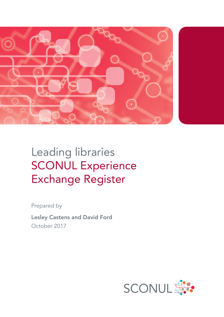

# Leading libraries SCONUL Experience Exchange Register

Prepared by

Lesley Castens and David Ford October 2017

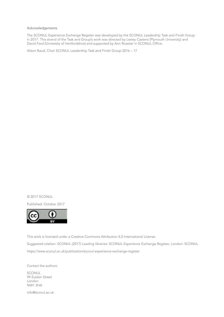#### Acknowledgements

The SCONUL Experience Exchange Register was developed by the SCONUL Leadership Task and Finish Group in 2017. This strand of the Task and Group's work was directed by Lesley Castens (Plymouth University) and David Ford (University of Hertfordshire) and supported by Ann Rossiter in SCONUL Office.

Alison Baud, Chair SCONUL Leadership Task and Finish Group 2016 – 17

© 2017 SCONUL

Published: October 2017



This work is licensed under a Creative Commons Attribution 4.0 International License. Suggested citation: SCONUL (2017) Leading libraries: SCONUL Experience Exchange Register, London: SCONUL https://www.sconul.ac.uk/publication/sconul-experience-exchange-register

Contact the authors: SCONUL 94 Euston Street London NW1 2HA

info@sconul.ac.uk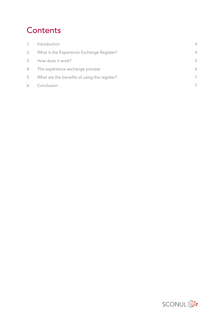## **Contents**

| 1. | Introduction                                 | $\Delta$       |
|----|----------------------------------------------|----------------|
| 2. | What is the Experience Exchange Register?    | $\overline{4}$ |
| 3. | How does it work?                            | 5              |
| 4. | The experience exchange process              | 6              |
| 5. | What are the benefits of using the register? | 7              |
| 6. | Conclusion                                   | 7              |

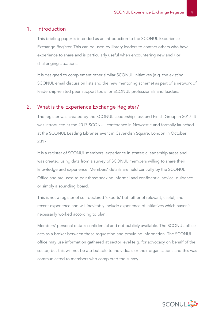#### 1. Introduction

This briefing paper is intended as an introduction to the SCONUL Experience Exchange Register. This can be used by library leaders to contact others who have experience to share and is particularly useful when encountering new and / or challenging situations.

It is designed to complement other similar SCONUL initiatives (e.g. the existing SCONUL email discussion lists and the new mentoring scheme) as part of a network of leadership-related peer support tools for SCONUL professionals and leaders.

#### 2. What is the Experience Exchange Register?

The register was created by the SCONUL Leadership Task and Finish Group in 2017. It was introduced at the 2017 SCONUL conference in Newcastle and formally launched at the SCONUL Leading Libraries event in Cavendish Square, London in October 2017.

It is a register of SCONUL members' experience in strategic leadership areas and was created using data from a survey of SCONUL members willing to share their knowledge and experience. Members' details are held centrally by the SCONUL Office and are used to pair those seeking informal and confidential advice, guidance or simply a sounding board.

This is not a register of self-declared 'experts' but rather of relevant, useful, and recent experience and will inevitably include experience of initiatives which haven't necessarily worked according to plan.

Members' personal data is confidential and not publicly available. The SCONUL office acts as a broker between those requesting and providing information. The SCONUL office may use information gathered at sector level (e.g. for advocacy on behalf of the sector) but this will not be attributable to individuals or their organisations and this was communicated to members who completed the survey.

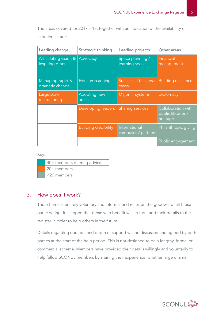The areas covered for 2017 – 18, together with an indication of the availability of experience, are:

| Leading change                            | Strategic thinking          | Leading projects                     | Other areas                                          |
|-------------------------------------------|-----------------------------|--------------------------------------|------------------------------------------------------|
| Articulating vision &<br>inspiring others | Advocacy                    | Space planning /<br>learning spaces  | Financial<br>management                              |
| Managing rapid &<br>dramatic change       | Horizon scanning            | Successful business<br>cases         | <b>Building resilience</b>                           |
| Large scale<br>restructuring              | Adopting new<br>areas       | Major IT systems                     | Diplomacy                                            |
|                                           | Developing leaders          | <b>Sharing services</b>              | Collaboration with<br>public libraries /<br>heritage |
|                                           | <b>Building credibility</b> | International<br>campuses / partners | Philanthropic giving                                 |
|                                           |                             |                                      | Public engagement                                    |

Key:

| 40+ members offering advice |
|-----------------------------|
| 20+ members                 |
| <20 members                 |

#### 3. How does it work?

The scheme is entirely voluntary and informal and relies on the goodwill of all those participating. It is hoped that those who benefit will, in turn, add their details to the register in order to help others in the future.

Details regarding duration and depth of support will be discussed and agreed by both parties at the start of the help period. This is not designed to be a lengthy, formal or commercial scheme. Members have provided their details willingly and voluntarily to help fellow SCONUL members by sharing their experience, whether large or small.

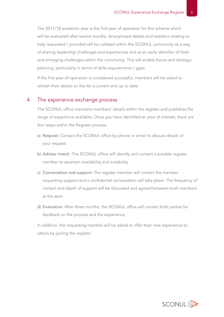The 2017/18 academic year is the first year of operation for this scheme which will be evaluated after twelve months. Anonymised details and statistics relating to help requested / provided will be collated within the SCONUL community as a way of sharing leadership challenges and experiences and as an early identifier of fresh and emerging challenges within the community. This will enable future and strategic planning, particularly in terms of skills requirements / gaps.

If the first year of operation is considered successful, members will be asked to refresh their details so the list is current and up to date.

#### 4. The experience exchange process

The SCONUL office maintains members' details within the register and publishes the range of experience available. Once you have identified an area of interest, there are four steps within the Register process:

- a) Request: Contact the SCONUL office by phone or email to discuss details of your request.
- b) Adviser match: The SCONUL office will identify and contact a suitable register member to ascertain availability and suitability.
- c) Conversation and support: The register member will contact the member requesting support and a confidential conversation will take place. The frequency of contact and depth of support will be discussed and agreed between both members at the start.
- d) Evaluation: After three months, the SCONUL office will contact both parties for feedback on the process and the experience.

In addition, the requesting member will be asked to offer their new experience to others by joining the register.

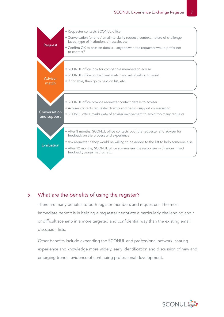

#### 5. What are the benefits of using the register?

There are many benefits to both register members and requesters. The most immediate benefit is in helping a requester negotiate a particularly challenging and / or difficult scenario in a more targeted and confidential way than the existing email discussion lists.

Other benefits include expanding the SCONUL and professional network, sharing experience and knowledge more widely, early identification and discussion of new and emerging trends, evidence of continuing professional development.

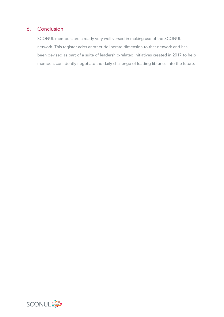### 6. Conclusion

SCONUL members are already very well versed in making use of the SCONUL network. This register adds another deliberate dimension to that network and has been devised as part of a suite of leadership-related initiatives created in 2017 to help members confidently negotiate the daily challenge of leading libraries into the future.